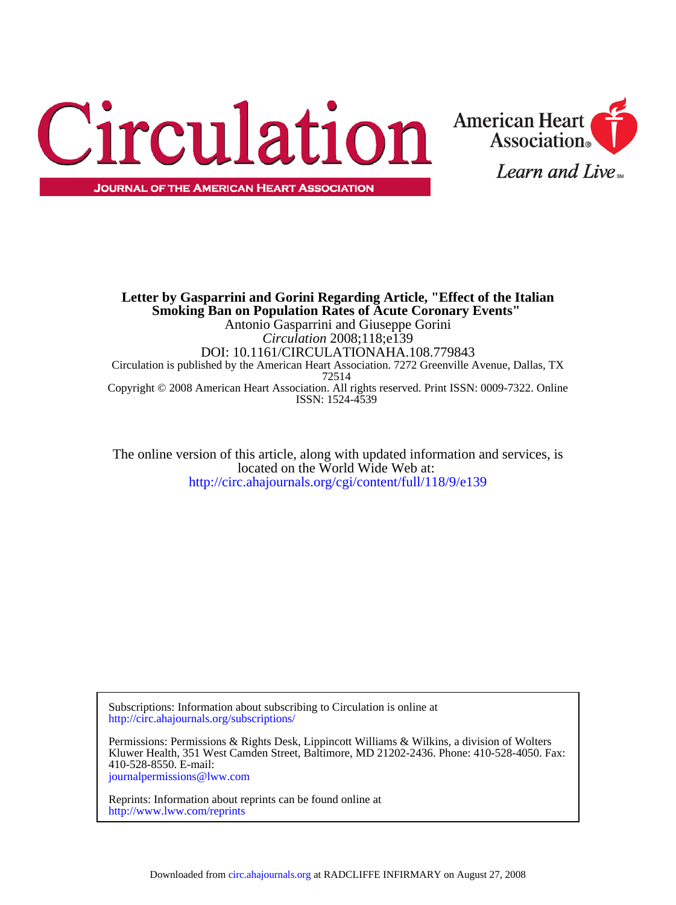



ISSN: 1524-4539 Copyright © 2008 American Heart Association. All rights reserved. Print ISSN: 0009-7322. Online 72514 Circulation is published by the American Heart Association. 7272 Greenville Avenue, Dallas, TX DOI: 10.1161/CIRCULATIONAHA.108.779843 *Circulation* 2008;118;e139 Antonio Gasparrini and Giuseppe Gorini **Smoking Ban on Population Rates of Acute Coronary Events" Letter by Gasparrini and Gorini Regarding Article, "Effect of the Italian**

<http://circ.ahajournals.org/cgi/content/full/118/9/e139> located on the World Wide Web at: The online version of this article, along with updated information and services, is

<http://circ.ahajournals.org/subscriptions/> Subscriptions: Information about subscribing to Circulation is online at

[journalpermissions@lww.com](mailto:journalpermissions@lww.com) 410-528-8550. E-mail: Kluwer Health, 351 West Camden Street, Baltimore, MD 21202-2436. Phone: 410-528-4050. Fax: Permissions: Permissions & Rights Desk, Lippincott Williams & Wilkins, a division of Wolters

<http://www.lww.com/reprints> Reprints: Information about reprints can be found online at